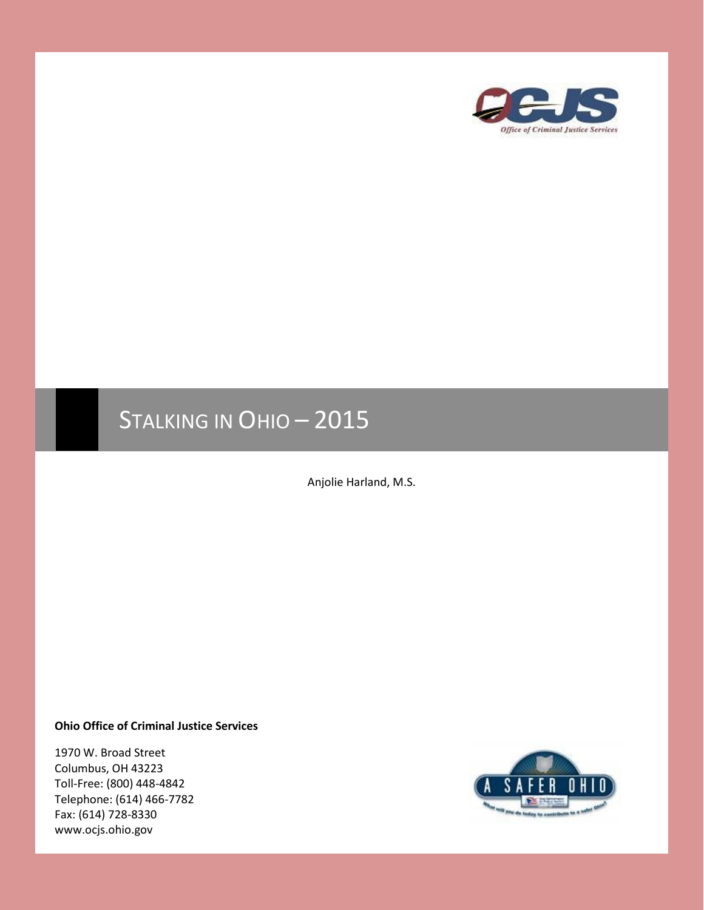

# STALKING IN OHIO - 2015

Anjolie Harland, M.S.

**Ohio Office of Criminal Justice Services**

1970 W. Broad Street Columbus, OH 43223 Toll-Free: (800) 448-4842 Telephone: (614) 466-7782 Fax: (614) 728-8330 www.ocjs.ohio.gov

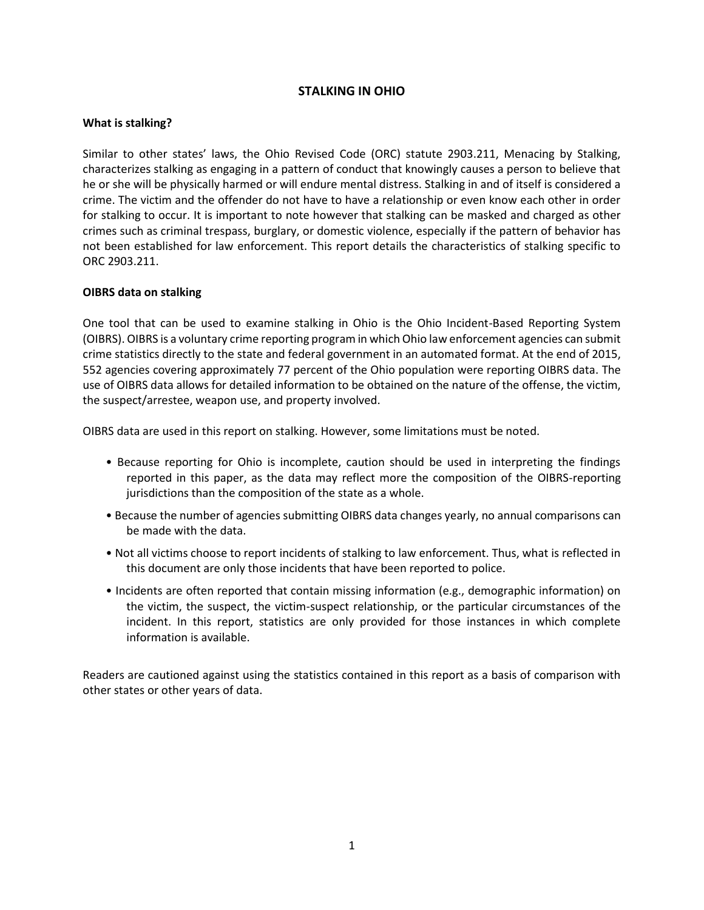# **STALKING IN OHIO**

## **What is stalking?**

Similar to other states' laws, the Ohio Revised Code (ORC) statute 2903.211, Menacing by Stalking, characterizes stalking as engaging in a pattern of conduct that knowingly causes a person to believe that he or she will be physically harmed or will endure mental distress. Stalking in and of itself is considered a crime. The victim and the offender do not have to have a relationship or even know each other in order for stalking to occur. It is important to note however that stalking can be masked and charged as other crimes such as criminal trespass, burglary, or domestic violence, especially if the pattern of behavior has not been established for law enforcement. This report details the characteristics of stalking specific to ORC 2903.211.

## **OIBRS data on stalking**

One tool that can be used to examine stalking in Ohio is the Ohio Incident-Based Reporting System (OIBRS). OIBRS is a voluntary crime reporting program in which Ohio law enforcement agencies can submit crime statistics directly to the state and federal government in an automated format. At the end of 2015, 552 agencies covering approximately 77 percent of the Ohio population were reporting OIBRS data. The use of OIBRS data allows for detailed information to be obtained on the nature of the offense, the victim, the suspect/arrestee, weapon use, and property involved.

OIBRS data are used in this report on stalking. However, some limitations must be noted.

- Because reporting for Ohio is incomplete, caution should be used in interpreting the findings reported in this paper, as the data may reflect more the composition of the OIBRS-reporting jurisdictions than the composition of the state as a whole.
- Because the number of agencies submitting OIBRS data changes yearly, no annual comparisons can be made with the data.
- Not all victims choose to report incidents of stalking to law enforcement. Thus, what is reflected in this document are only those incidents that have been reported to police.
- Incidents are often reported that contain missing information (e.g., demographic information) on the victim, the suspect, the victim-suspect relationship, or the particular circumstances of the incident. In this report, statistics are only provided for those instances in which complete information is available.

Readers are cautioned against using the statistics contained in this report as a basis of comparison with other states or other years of data.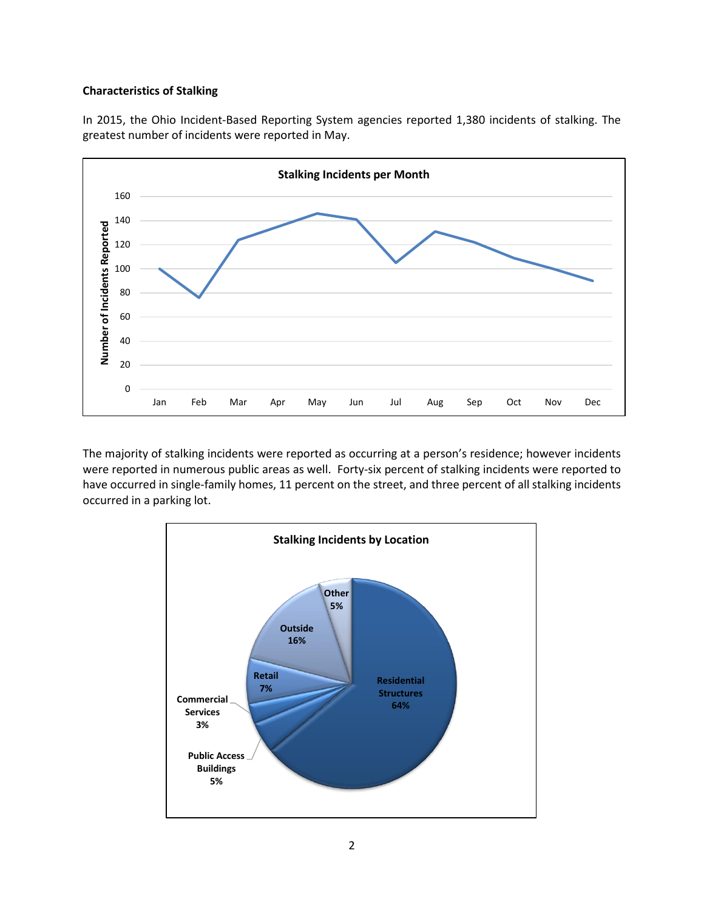#### **Characteristics of Stalking**

In 2015, the Ohio Incident-Based Reporting System agencies reported 1,380 incidents of stalking. The greatest number of incidents were reported in May.



The majority of stalking incidents were reported as occurring at a person's residence; however incidents were reported in numerous public areas as well. Forty-six percent of stalking incidents were reported to have occurred in single-family homes, 11 percent on the street, and three percent of all stalking incidents occurred in a parking lot.

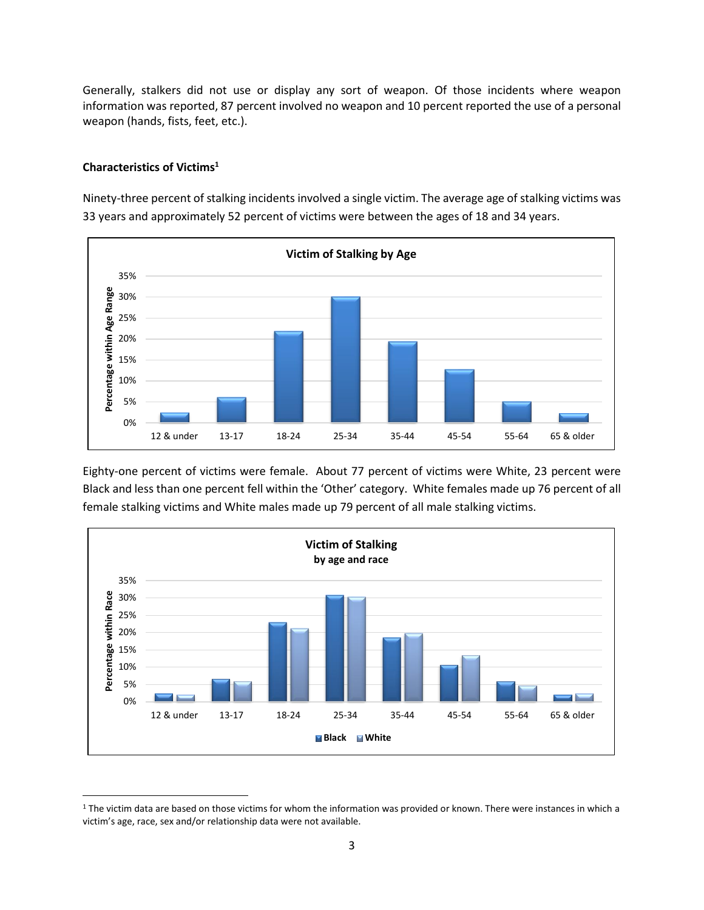Generally, stalkers did not use or display any sort of weapon. Of those incidents where weapon information was reported, 87 percent involved no weapon and 10 percent reported the use of a personal weapon (hands, fists, feet, etc.).

# **Characteristics of Victims<sup>1</sup>**

 $\overline{\phantom{a}}$ 

Ninety-three percent of stalking incidents involved a single victim. The average age of stalking victims was 33 years and approximately 52 percent of victims were between the ages of 18 and 34 years.



Eighty-one percent of victims were female. About 77 percent of victims were White, 23 percent were Black and less than one percent fell within the 'Other' category. White females made up 76 percent of all female stalking victims and White males made up 79 percent of all male stalking victims.



<sup>&</sup>lt;sup>1</sup> The victim data are based on those victims for whom the information was provided or known. There were instances in which a victim's age, race, sex and/or relationship data were not available.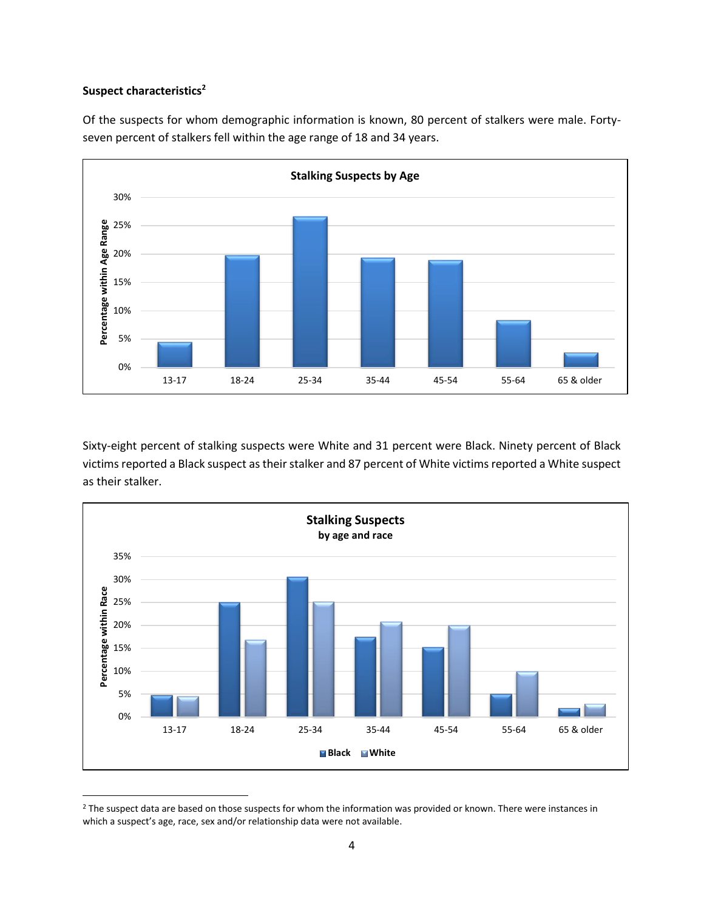### **Suspect characteristics<sup>2</sup>**

 $\overline{\phantom{a}}$ 





Sixty-eight percent of stalking suspects were White and 31 percent were Black. Ninety percent of Black victims reported a Black suspect as their stalker and 87 percent of White victims reported a White suspect as their stalker.



<sup>&</sup>lt;sup>2</sup> The suspect data are based on those suspects for whom the information was provided or known. There were instances in which a suspect's age, race, sex and/or relationship data were not available.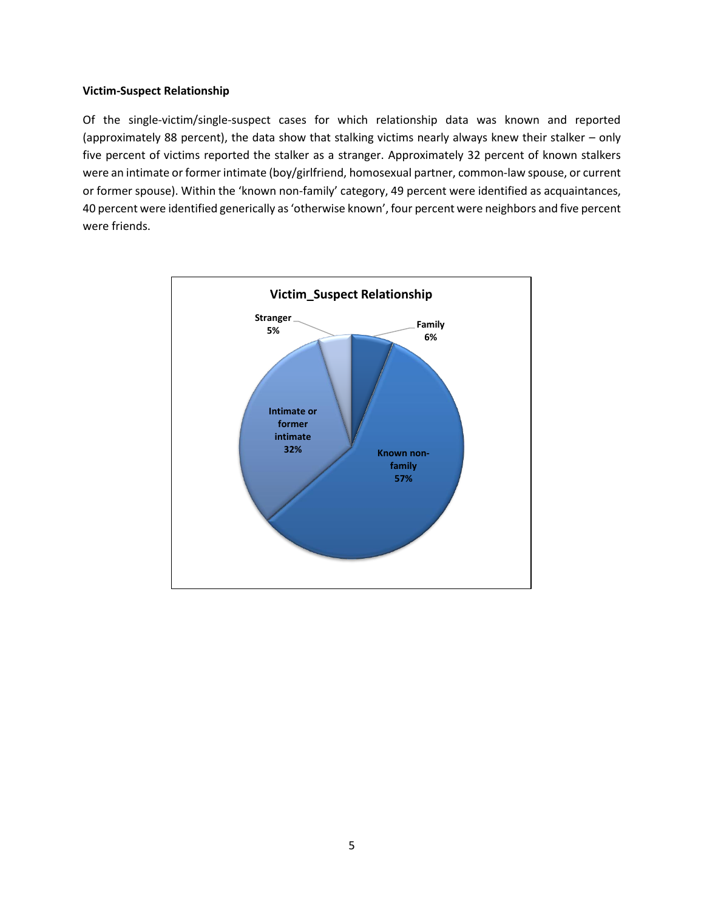#### **Victim-Suspect Relationship**

Of the single-victim/single-suspect cases for which relationship data was known and reported (approximately 88 percent), the data show that stalking victims nearly always knew their stalker – only five percent of victims reported the stalker as a stranger. Approximately 32 percent of known stalkers were an intimate or former intimate (boy/girlfriend, homosexual partner, common-law spouse, or current or former spouse). Within the 'known non-family' category, 49 percent were identified as acquaintances, 40 percent were identified generically as 'otherwise known', four percent were neighbors and five percent were friends.